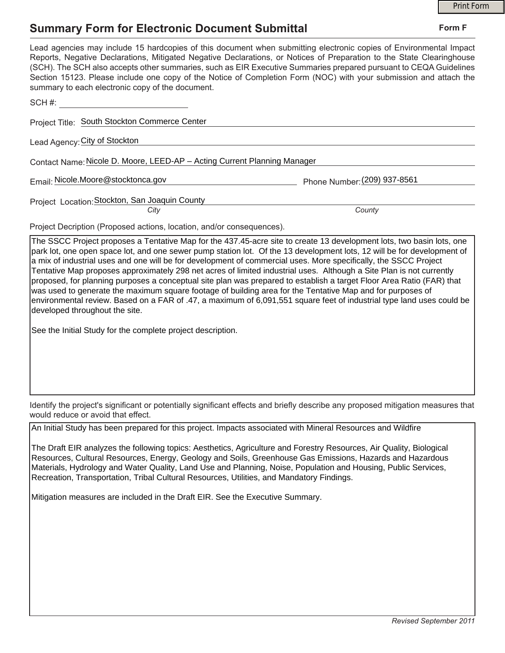## **Summary Form for Electronic Document Submittal**

| <b>Summary Form for Electronic Document Submittal</b>                                                                                                                                                                                                                                                                                                                                                                                                                                                                                                                                                                                                                                                                                                                                                                                                                                          | Form F |
|------------------------------------------------------------------------------------------------------------------------------------------------------------------------------------------------------------------------------------------------------------------------------------------------------------------------------------------------------------------------------------------------------------------------------------------------------------------------------------------------------------------------------------------------------------------------------------------------------------------------------------------------------------------------------------------------------------------------------------------------------------------------------------------------------------------------------------------------------------------------------------------------|--------|
| Lead agencies may include 15 hardcopies of this document when submitting electronic copies of Environmental Impact<br>Reports, Negative Declarations, Mitigated Negative Declarations, or Notices of Preparation to the State Clearinghouse<br>(SCH). The SCH also accepts other summaries, such as EIR Executive Summaries prepared pursuant to CEQA Guidelines<br>Section 15123. Please include one copy of the Notice of Completion Form (NOC) with your submission and attach the<br>summary to each electronic copy of the document.                                                                                                                                                                                                                                                                                                                                                      |        |
| SCH#:                                                                                                                                                                                                                                                                                                                                                                                                                                                                                                                                                                                                                                                                                                                                                                                                                                                                                          |        |
| Project Title: South Stockton Commerce Center                                                                                                                                                                                                                                                                                                                                                                                                                                                                                                                                                                                                                                                                                                                                                                                                                                                  |        |
| Lead Agency: City of Stockton                                                                                                                                                                                                                                                                                                                                                                                                                                                                                                                                                                                                                                                                                                                                                                                                                                                                  |        |
| Contact Name: Nicole D. Moore, LEED-AP - Acting Current Planning Manager                                                                                                                                                                                                                                                                                                                                                                                                                                                                                                                                                                                                                                                                                                                                                                                                                       |        |
| Email: Nicole.Moore@stocktonca.gov<br>Phone Number: (209) 937-8561                                                                                                                                                                                                                                                                                                                                                                                                                                                                                                                                                                                                                                                                                                                                                                                                                             |        |
| Project Location: Stockton, San Joaquin County<br>County<br>Citv                                                                                                                                                                                                                                                                                                                                                                                                                                                                                                                                                                                                                                                                                                                                                                                                                               |        |
|                                                                                                                                                                                                                                                                                                                                                                                                                                                                                                                                                                                                                                                                                                                                                                                                                                                                                                |        |
| Project Decription (Proposed actions, location, and/or consequences).                                                                                                                                                                                                                                                                                                                                                                                                                                                                                                                                                                                                                                                                                                                                                                                                                          |        |
| The SSCC Project proposes a Tentative Map for the 437.45-acre site to create 13 development lots, two basin lots, one<br>park lot, one open space lot, and one sewer pump station lot. Of the 13 development lots, 12 will be for development of<br>a mix of industrial uses and one will be for development of commercial uses. More specifically, the SSCC Project<br>Tentative Map proposes approximately 298 net acres of limited industrial uses. Although a Site Plan is not currently<br>proposed, for planning purposes a conceptual site plan was prepared to establish a target Floor Area Ratio (FAR) that<br>was used to generate the maximum square footage of building area for the Tentative Map and for purposes of<br>environmental review. Based on a FAR of .47, a maximum of 6,091,551 square feet of industrial type land uses could be<br>developed throughout the site. |        |
| See the Initial Study for the complete project description.                                                                                                                                                                                                                                                                                                                                                                                                                                                                                                                                                                                                                                                                                                                                                                                                                                    |        |
|                                                                                                                                                                                                                                                                                                                                                                                                                                                                                                                                                                                                                                                                                                                                                                                                                                                                                                |        |
|                                                                                                                                                                                                                                                                                                                                                                                                                                                                                                                                                                                                                                                                                                                                                                                                                                                                                                |        |
|                                                                                                                                                                                                                                                                                                                                                                                                                                                                                                                                                                                                                                                                                                                                                                                                                                                                                                |        |

Identify the project's significant or potentially significant effects and briefly describe any proposed mitigation measures that would reduce or avoid that effect.

An Initial Study has been prepared for this project. Impacts associated with Mineral Resources and Wildfire

The Draft EIR analyzes the following topics: Aesthetics, Agriculture and Forestry Resources, Air Quality, Biological Resources, Cultural Resources, Energy, Geology and Soils, Greenhouse Gas Emissions, Hazards and Hazardous Materials, Hydrology and Water Quality, Land Use and Planning, Noise, Population and Housing, Public Services, Recreation, Transportation, Tribal Cultural Resources, Utilities, and Mandatory Findings.

Mitigation measures are included in the Draft EIR. See the Executive Summary.